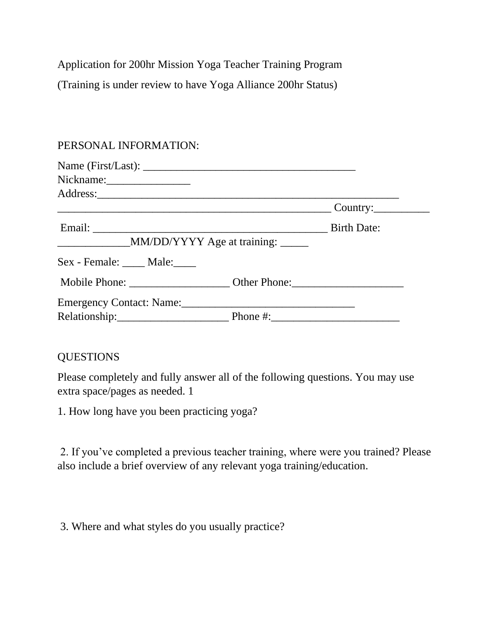Application for 200hr Mission Yoga Teacher Training Program (Training is under review to have Yoga Alliance 200hr Status)

## PERSONAL INFORMATION:

| Nickname:                                                 |                    |
|-----------------------------------------------------------|--------------------|
|                                                           |                    |
|                                                           |                    |
|                                                           | <b>Birth Date:</b> |
| ______________________MM/DD/YYYY Age at training: _______ |                    |
| Sex - Female: Male:                                       |                    |
|                                                           |                    |
| Emergency Contact: Name:                                  |                    |
|                                                           |                    |

## QUESTIONS

Please completely and fully answer all of the following questions. You may use extra space/pages as needed. 1

1. How long have you been practicing yoga?

2. If you've completed a previous teacher training, where were you trained? Please also include a brief overview of any relevant yoga training/education.

3. Where and what styles do you usually practice?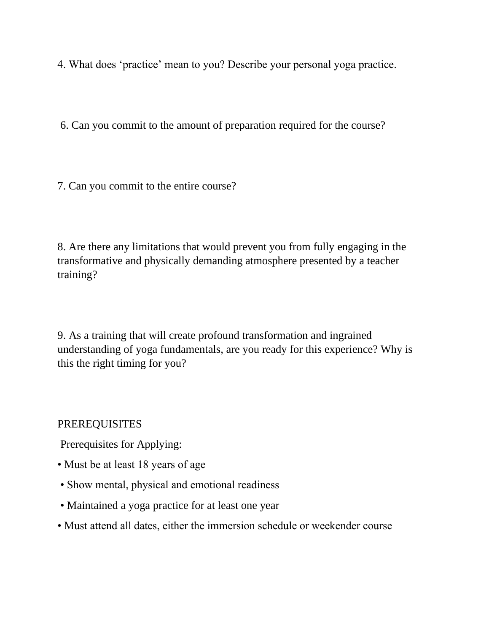4. What does 'practice' mean to you? Describe your personal yoga practice.

6. Can you commit to the amount of preparation required for the course?

7. Can you commit to the entire course?

8. Are there any limitations that would prevent you from fully engaging in the transformative and physically demanding atmosphere presented by a teacher training?

9. As a training that will create profound transformation and ingrained understanding of yoga fundamentals, are you ready for this experience? Why is this the right timing for you?

PREREQUISITES

Prerequisites for Applying:

- Must be at least 18 years of age
- Show mental, physical and emotional readiness
- Maintained a yoga practice for at least one year
- Must attend all dates, either the immersion schedule or weekender course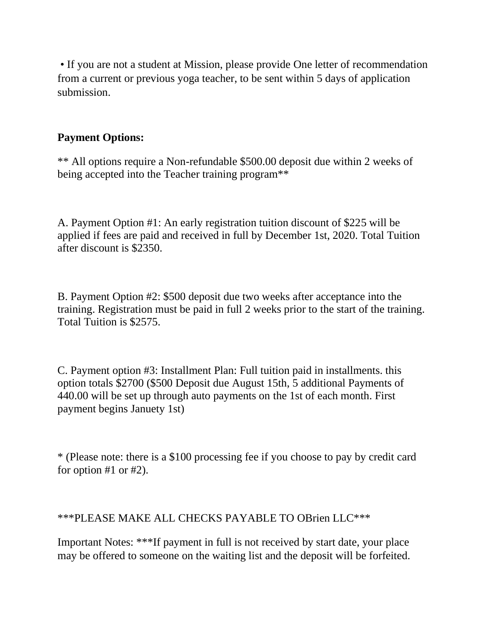• If you are not a student at Mission, please provide One letter of recommendation from a current or previous yoga teacher, to be sent within 5 days of application submission.

## **Payment Options:**

\*\* All options require a Non-refundable \$500.00 deposit due within 2 weeks of being accepted into the Teacher training program\*\*

A. Payment Option #1: An early registration tuition discount of \$225 will be applied if fees are paid and received in full by December 1st, 2020. Total Tuition after discount is \$2350.

B. Payment Option #2: \$500 deposit due two weeks after acceptance into the training. Registration must be paid in full 2 weeks prior to the start of the training. Total Tuition is \$2575.

C. Payment option #3: Installment Plan: Full tuition paid in installments. this option totals \$2700 (\$500 Deposit due August 15th, 5 additional Payments of 440.00 will be set up through auto payments on the 1st of each month. First payment begins Januety 1st)

\* (Please note: there is a \$100 processing fee if you choose to pay by credit card for option #1 or #2).

## \*\*\*PLEASE MAKE ALL CHECKS PAYABLE TO OBrien LLC\*\*\*

Important Notes: \*\*\*If payment in full is not received by start date, your place may be offered to someone on the waiting list and the deposit will be forfeited.